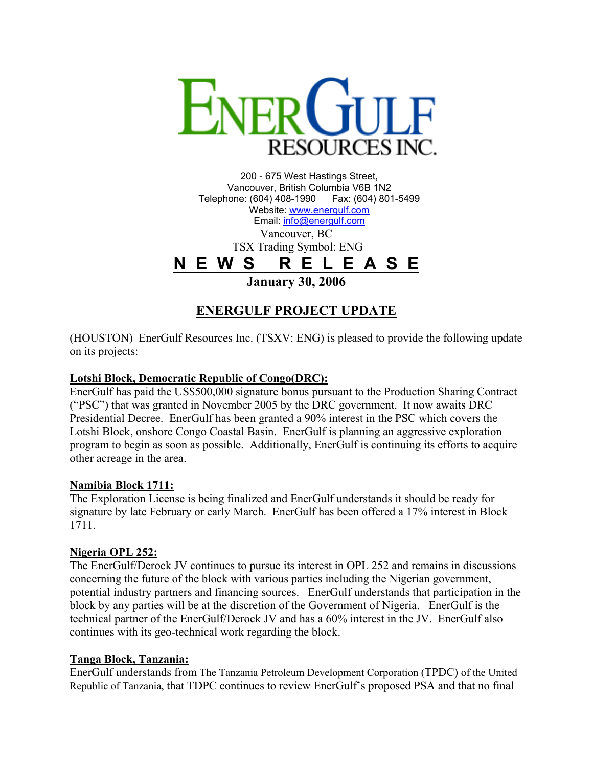

200 - 675 West Hastings Street, Vancouver, British Columbia V6B 1N2 Telephone: (604) 408-1990 Fax: (604) 801-5499 Website: [www.energulf.com](http://www.energulf.com/) Email: [info@energulf.com](mailto:info@energulf.com) Vancouver, BC TSX Trading Symbol: ENG **N E W S R E L E A S E January 30, 2006** 

# **ENERGULF PROJECT UPDATE**

(HOUSTON) EnerGulf Resources Inc. (TSXV: ENG) is pleased to provide the following update on its projects:

## **Lotshi Block, Democratic Republic of Congo(DRC):**

EnerGulf has paid the US\$500,000 signature bonus pursuant to the Production Sharing Contract ("PSC") that was granted in November 2005 by the DRC government. It now awaits DRC Presidential Decree. EnerGulf has been granted a 90% interest in the PSC which covers the Lotshi Block, onshore Congo Coastal Basin. EnerGulf is planning an aggressive exploration program to begin as soon as possible. Additionally, EnerGulf is continuing its efforts to acquire other acreage in the area.

#### **Namibia Block 1711:**

The Exploration License is being finalized and EnerGulf understands it should be ready for signature by late February or early March. EnerGulf has been offered a 17% interest in Block 1711.

## **Nigeria OPL 252:**

The EnerGulf/Derock JV continues to pursue its interest in OPL 252 and remains in discussions concerning the future of the block with various parties including the Nigerian government, potential industry partners and financing sources. EnerGulf understands that participation in the block by any parties will be at the discretion of the Government of Nigeria. EnerGulf is the technical partner of the EnerGulf/Derock JV and has a 60% interest in the JV. EnerGulf also continues with its geo-technical work regarding the block.

#### **Tanga Block, Tanzania:**

EnerGulf understands from The Tanzania Petroleum Development Corporation (TPDC) of the United Republic of Tanzania, that TDPC continues to review EnerGulf's proposed PSA and that no final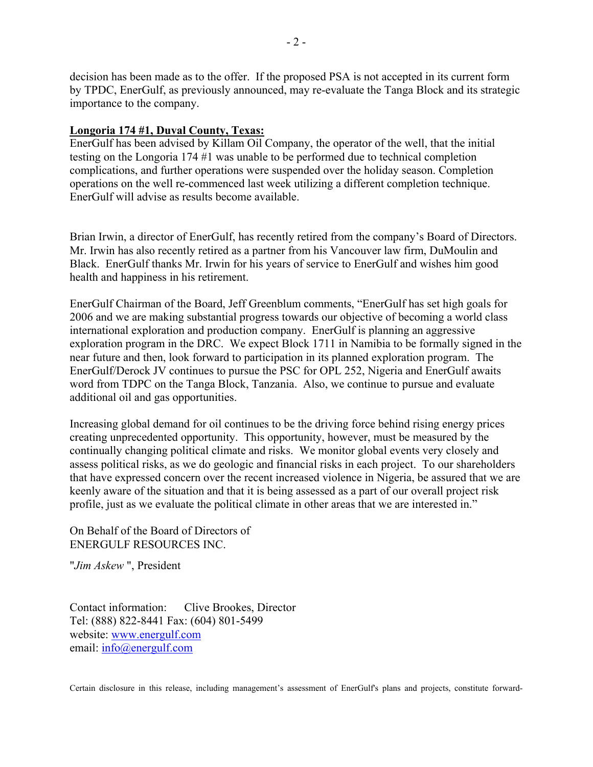decision has been made as to the offer. If the proposed PSA is not accepted in its current form by TPDC, EnerGulf, as previously announced, may re-evaluate the Tanga Block and its strategic importance to the company.

### **Longoria 174 #1, Duval County, Texas:**

EnerGulf has been advised by Killam Oil Company, the operator of the well, that the initial testing on the Longoria 174 #1 was unable to be performed due to technical completion complications, and further operations were suspended over the holiday season. Completion operations on the well re-commenced last week utilizing a different completion technique. EnerGulf will advise as results become available.

Brian Irwin, a director of EnerGulf, has recently retired from the company's Board of Directors. Mr. Irwin has also recently retired as a partner from his Vancouver law firm, DuMoulin and Black. EnerGulf thanks Mr. Irwin for his years of service to EnerGulf and wishes him good health and happiness in his retirement.

EnerGulf Chairman of the Board, Jeff Greenblum comments, "EnerGulf has set high goals for 2006 and we are making substantial progress towards our objective of becoming a world class international exploration and production company. EnerGulf is planning an aggressive exploration program in the DRC. We expect Block 1711 in Namibia to be formally signed in the near future and then, look forward to participation in its planned exploration program. The EnerGulf/Derock JV continues to pursue the PSC for OPL 252, Nigeria and EnerGulf awaits word from TDPC on the Tanga Block, Tanzania. Also, we continue to pursue and evaluate additional oil and gas opportunities.

Increasing global demand for oil continues to be the driving force behind rising energy prices creating unprecedented opportunity. This opportunity, however, must be measured by the continually changing political climate and risks. We monitor global events very closely and assess political risks, as we do geologic and financial risks in each project. To our shareholders that have expressed concern over the recent increased violence in Nigeria, be assured that we are keenly aware of the situation and that it is being assessed as a part of our overall project risk profile, just as we evaluate the political climate in other areas that we are interested in."

On Behalf of the Board of Directors of ENERGULF RESOURCES INC.

"*Jim Askew* ", President

Contact information: Clive Brookes, Director Tel: (888) 822-8441 Fax: (604) 801-5499 website: [www.energulf.com](http://www.energulf.com/) email: [info@energulf.com](mailto:info@energulf.com)

Certain disclosure in this release, including management's assessment of EnerGulf's plans and projects, constitute forward-